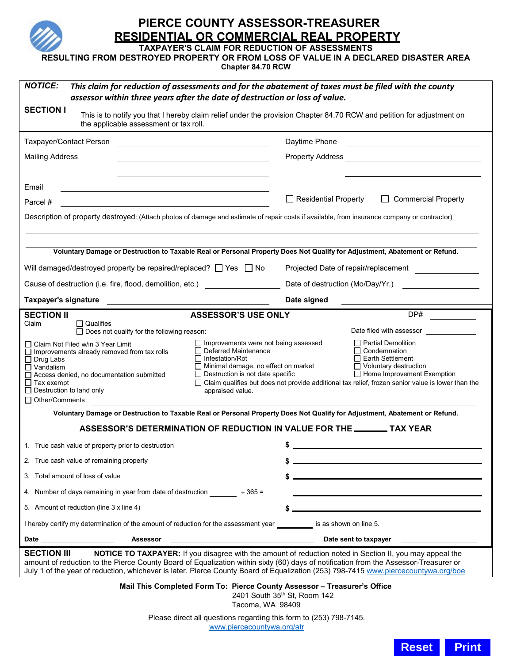

# **PIERCE COUNTY ASSESSOR-TREASURER RESIDENTIAL OR COMMERCIAL REAL PROPERTY**

**TAXPAYER'S CLAIM FOR REDUCTION OF ASSESSMENTS**

**RESULTING FROM DESTROYED PROPERTY OR FROM LOSS OF VALUE IN A DECLARED DISASTER AREA**

**Chapter 84.70 RCW**

| <b>NOTICE:</b><br>This claim for reduction of assessments and for the abatement of taxes must be filed with the county<br>assessor within three years after the date of destruction or loss of value.                                                                                                                                                                                                                                                                                                                                                                                                                                                                                                                                           |                                                   |                                                                          |                          |
|-------------------------------------------------------------------------------------------------------------------------------------------------------------------------------------------------------------------------------------------------------------------------------------------------------------------------------------------------------------------------------------------------------------------------------------------------------------------------------------------------------------------------------------------------------------------------------------------------------------------------------------------------------------------------------------------------------------------------------------------------|---------------------------------------------------|--------------------------------------------------------------------------|--------------------------|
| <b>SECTION I</b><br>This is to notify you that I hereby claim relief under the provision Chapter 84.70 RCW and petition for adjustment on<br>the applicable assessment or tax roll.                                                                                                                                                                                                                                                                                                                                                                                                                                                                                                                                                             |                                                   |                                                                          |                          |
| Taxpayer/Contact Person                                                                                                                                                                                                                                                                                                                                                                                                                                                                                                                                                                                                                                                                                                                         |                                                   | Daytime Phone                                                            |                          |
| <b>Mailing Address</b>                                                                                                                                                                                                                                                                                                                                                                                                                                                                                                                                                                                                                                                                                                                          |                                                   |                                                                          |                          |
|                                                                                                                                                                                                                                                                                                                                                                                                                                                                                                                                                                                                                                                                                                                                                 |                                                   |                                                                          |                          |
| Email                                                                                                                                                                                                                                                                                                                                                                                                                                                                                                                                                                                                                                                                                                                                           |                                                   |                                                                          |                          |
| Parcel #                                                                                                                                                                                                                                                                                                                                                                                                                                                                                                                                                                                                                                                                                                                                        |                                                   | $\Box$ Residential Property                                              | □ Commercial Property    |
| Description of property destroyed: (Attach photos of damage and estimate of repair costs if available, from insurance company or contractor)                                                                                                                                                                                                                                                                                                                                                                                                                                                                                                                                                                                                    |                                                   |                                                                          |                          |
| Voluntary Damage or Destruction to Taxable Real or Personal Property Does Not Qualify for Adjustment, Abatement or Refund.                                                                                                                                                                                                                                                                                                                                                                                                                                                                                                                                                                                                                      |                                                   |                                                                          |                          |
| Will damaged/destroyed property be repaired/replaced? $\Box$ Yes $\Box$ No                                                                                                                                                                                                                                                                                                                                                                                                                                                                                                                                                                                                                                                                      |                                                   | Projected Date of repair/replacement<br>Date of destruction (Mo/Day/Yr.) |                          |
| Cause of destruction (i.e. fire, flood, demolition, etc.) _______________________                                                                                                                                                                                                                                                                                                                                                                                                                                                                                                                                                                                                                                                               |                                                   |                                                                          |                          |
| <b>Taxpayer's signature</b><br><b>SECTION II</b>                                                                                                                                                                                                                                                                                                                                                                                                                                                                                                                                                                                                                                                                                                | <b>ASSESSOR'S USE ONLY</b>                        | Date signed                                                              | DP#                      |
| $\Box$ Qualifies<br>Claim<br>$\Box$ Does not qualify for the following reason:                                                                                                                                                                                                                                                                                                                                                                                                                                                                                                                                                                                                                                                                  |                                                   |                                                                          | Date filed with assessor |
| $\Box$ Improvements were not being assessed<br>$\Box$ Partial Demolition<br>□ Claim Not Filed w/in 3 Year Limit<br>$\sqcap$ Condemnation<br>$\Box$ Deferred Maintenance<br>$\Box$ Improvements already removed from tax rolls<br>$\Box$ Infestation/Rot<br>$\Box$ Earth Settlement<br>$\Box$ Drug Labs<br>Minimal damage, no effect on market<br>$\Box$ Voluntary destruction<br>$\Box$ Vandalism<br>$\Box$ Destruction is not date specific<br>$\Box$ Home Improvement Exemption<br>Access denied, no documentation submitted<br>$\Box$ Tax exempt<br>$\Box$ Claim qualifies but does not provide additional tax relief, frozen senior value is lower than the<br>$\Box$ Destruction to land only<br>appraised value.<br>$\Box$ Other/Comments |                                                   |                                                                          |                          |
| Voluntary Damage or Destruction to Taxable Real or Personal Property Does Not Qualify for Adjustment, Abatement or Refund.                                                                                                                                                                                                                                                                                                                                                                                                                                                                                                                                                                                                                      |                                                   |                                                                          |                          |
|                                                                                                                                                                                                                                                                                                                                                                                                                                                                                                                                                                                                                                                                                                                                                 |                                                   | ASSESSOR'S DETERMINATION OF REDUCTION IN VALUE FOR THE ________ TAX YEAR |                          |
| 1. True cash value of property prior to destruction                                                                                                                                                                                                                                                                                                                                                                                                                                                                                                                                                                                                                                                                                             |                                                   |                                                                          |                          |
| 2. True cash value of remaining property                                                                                                                                                                                                                                                                                                                                                                                                                                                                                                                                                                                                                                                                                                        |                                                   |                                                                          |                          |
| 3. Total amount of loss of value                                                                                                                                                                                                                                                                                                                                                                                                                                                                                                                                                                                                                                                                                                                |                                                   |                                                                          |                          |
| 4. Number of days remaining in year from date of destruction $\div 365 =$                                                                                                                                                                                                                                                                                                                                                                                                                                                                                                                                                                                                                                                                       |                                                   |                                                                          |                          |
| 5. Amount of reduction (line 3 x line 4)                                                                                                                                                                                                                                                                                                                                                                                                                                                                                                                                                                                                                                                                                                        |                                                   |                                                                          |                          |
| I hereby certify my determination of the amount of reduction for the assessment year is as shown on line 5.                                                                                                                                                                                                                                                                                                                                                                                                                                                                                                                                                                                                                                     |                                                   |                                                                          |                          |
| Date and the state of the state of the state of the state of the state of the state of the state of the state<br>Assessor                                                                                                                                                                                                                                                                                                                                                                                                                                                                                                                                                                                                                       | <u> 1980 - Johann Barbara, martxa alemaniar a</u> | Date sent to taxpayer                                                    |                          |
| NOTICE TO TAXPAYER: If you disagree with the amount of reduction noted in Section II, you may appeal the<br><b>SECTION III</b><br>amount of reduction to the Pierce County Board of Equalization within sixty (60) days of notification from the Assessor-Treasurer or<br>July 1 of the year of reduction, whichever is later. Pierce County Board of Equalization (253) 798-7415 www.piercecountywa.org/boe                                                                                                                                                                                                                                                                                                                                    |                                                   |                                                                          |                          |
| Mail This Completed Form To: Pierce County Assessor - Treasurer's Office<br>2401 South 35 <sup>th</sup> St, Room 142<br>Tacoma, WA 98409                                                                                                                                                                                                                                                                                                                                                                                                                                                                                                                                                                                                        |                                                   |                                                                          |                          |
| Please direct all questions regarding this form to (253) 798-7145.<br>www.piercecountywa.org/atr                                                                                                                                                                                                                                                                                                                                                                                                                                                                                                                                                                                                                                                |                                                   |                                                                          |                          |

**Reset Print**